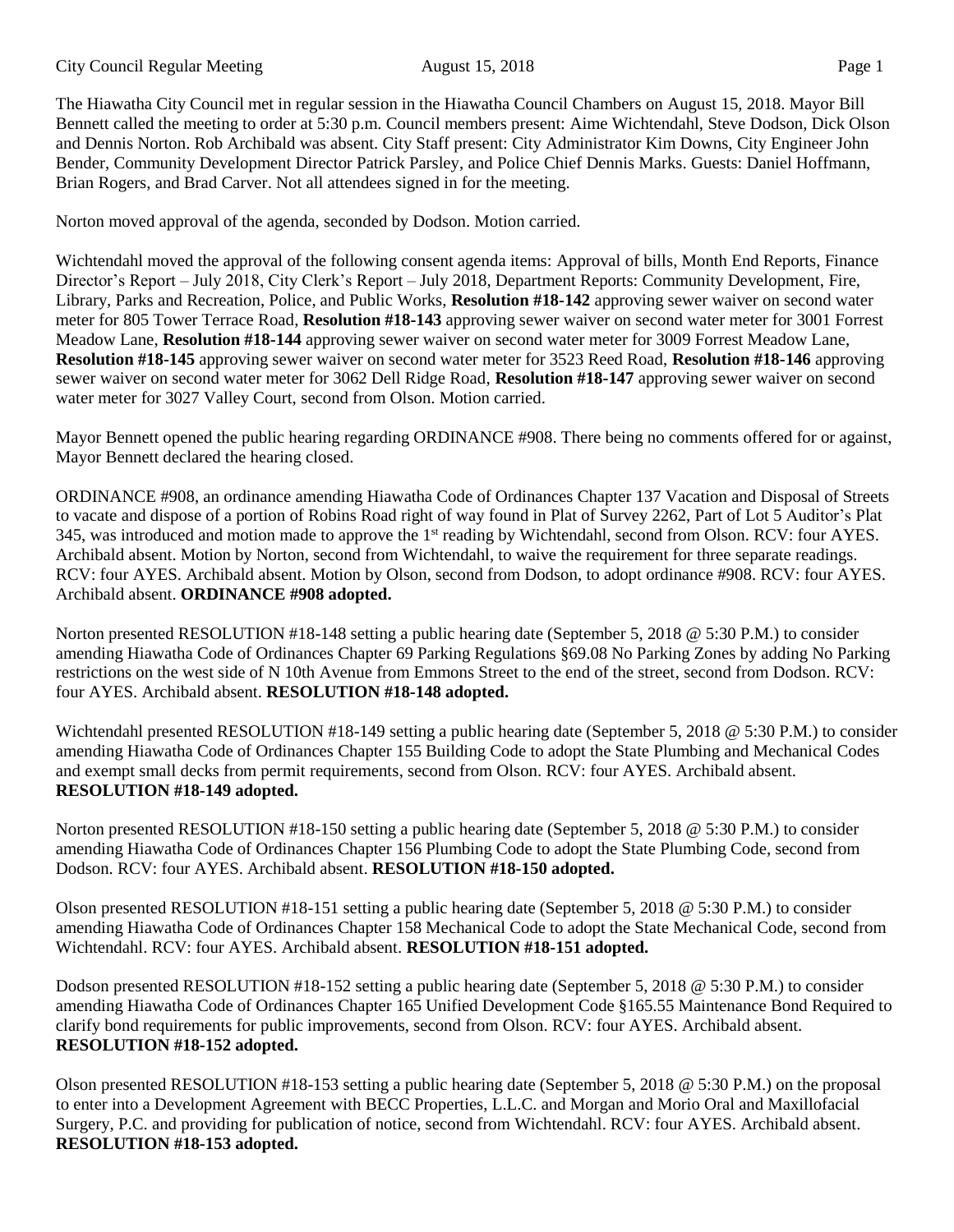The Hiawatha City Council met in regular session in the Hiawatha Council Chambers on August 15, 2018. Mayor Bill Bennett called the meeting to order at 5:30 p.m. Council members present: Aime Wichtendahl, Steve Dodson, Dick Olson and Dennis Norton. Rob Archibald was absent. City Staff present: City Administrator Kim Downs, City Engineer John Bender, Community Development Director Patrick Parsley, and Police Chief Dennis Marks. Guests: Daniel Hoffmann, Brian Rogers, and Brad Carver. Not all attendees signed in for the meeting.

Norton moved approval of the agenda, seconded by Dodson. Motion carried.

Wichtendahl moved the approval of the following consent agenda items: Approval of bills, Month End Reports, Finance Director's Report – July 2018, City Clerk's Report – July 2018, Department Reports: Community Development, Fire, Library, Parks and Recreation, Police, and Public Works, **Resolution #18-142** approving sewer waiver on second water meter for 805 Tower Terrace Road, **Resolution #18-143** approving sewer waiver on second water meter for 3001 Forrest Meadow Lane, **Resolution #18-144** approving sewer waiver on second water meter for 3009 Forrest Meadow Lane, **Resolution #18-145** approving sewer waiver on second water meter for 3523 Reed Road, **Resolution #18-146** approving sewer waiver on second water meter for 3062 Dell Ridge Road, **Resolution #18-147** approving sewer waiver on second water meter for 3027 Valley Court, second from Olson. Motion carried.

Mayor Bennett opened the public hearing regarding ORDINANCE #908. There being no comments offered for or against, Mayor Bennett declared the hearing closed.

ORDINANCE #908, an ordinance amending Hiawatha Code of Ordinances Chapter 137 Vacation and Disposal of Streets to vacate and dispose of a portion of Robins Road right of way found in Plat of Survey 2262, Part of Lot 5 Auditor's Plat 345, was introduced and motion made to approve the 1<sup>st</sup> reading by Wichtendahl, second from Olson. RCV: four AYES. Archibald absent. Motion by Norton, second from Wichtendahl, to waive the requirement for three separate readings. RCV: four AYES. Archibald absent. Motion by Olson, second from Dodson, to adopt ordinance #908. RCV: four AYES. Archibald absent. **ORDINANCE #908 adopted.**

Norton presented RESOLUTION #18-148 setting a public hearing date (September 5, 2018 @ 5:30 P.M.) to consider amending Hiawatha Code of Ordinances Chapter 69 Parking Regulations §69.08 No Parking Zones by adding No Parking restrictions on the west side of N 10th Avenue from Emmons Street to the end of the street, second from Dodson. RCV: four AYES. Archibald absent. **RESOLUTION #18-148 adopted.** 

Wichtendahl presented RESOLUTION #18-149 setting a public hearing date (September 5, 2018 @ 5:30 P.M.) to consider amending Hiawatha Code of Ordinances Chapter 155 Building Code to adopt the State Plumbing and Mechanical Codes and exempt small decks from permit requirements, second from Olson. RCV: four AYES. Archibald absent. **RESOLUTION #18-149 adopted.**

Norton presented RESOLUTION #18-150 setting a public hearing date (September 5, 2018 @ 5:30 P.M.) to consider amending Hiawatha Code of Ordinances Chapter 156 Plumbing Code to adopt the State Plumbing Code, second from Dodson. RCV: four AYES. Archibald absent. **RESOLUTION #18-150 adopted.**

Olson presented RESOLUTION #18-151 setting a public hearing date (September 5, 2018 @ 5:30 P.M.) to consider amending Hiawatha Code of Ordinances Chapter 158 Mechanical Code to adopt the State Mechanical Code, second from Wichtendahl. RCV: four AYES. Archibald absent. **RESOLUTION #18-151 adopted.**

Dodson presented RESOLUTION #18-152 setting a public hearing date (September 5, 2018 @ 5:30 P.M.) to consider amending Hiawatha Code of Ordinances Chapter 165 Unified Development Code §165.55 Maintenance Bond Required to clarify bond requirements for public improvements, second from Olson. RCV: four AYES. Archibald absent. **RESOLUTION #18-152 adopted.**

Olson presented RESOLUTION #18-153 setting a public hearing date (September 5, 2018 @ 5:30 P.M.) on the proposal to enter into a Development Agreement with BECC Properties, L.L.C. and Morgan and Morio Oral and Maxillofacial Surgery, P.C. and providing for publication of notice, second from Wichtendahl. RCV: four AYES. Archibald absent. **RESOLUTION #18-153 adopted.**